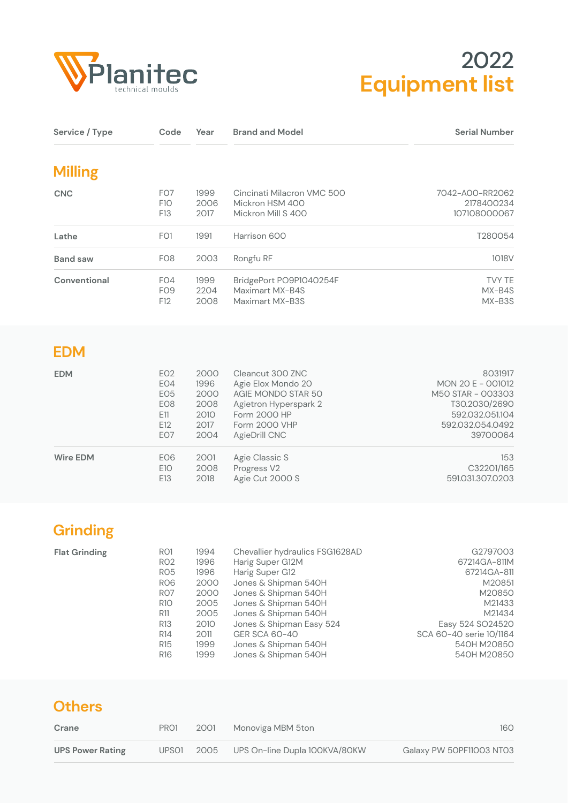

## **Equipment list** 2022

| Service / Type  | Code                                                                              | Year                                                 | <b>Brand and Model</b>                                                                                                                         | <b>Serial Number</b>                                                                                                  |
|-----------------|-----------------------------------------------------------------------------------|------------------------------------------------------|------------------------------------------------------------------------------------------------------------------------------------------------|-----------------------------------------------------------------------------------------------------------------------|
| <b>Milling</b>  |                                                                                   |                                                      |                                                                                                                                                |                                                                                                                       |
| <b>CNC</b>      | FO <sub>7</sub><br>F <sub>10</sub><br>F13                                         | 1999<br>2006<br>2017                                 | Cincinati Milacron VMC 500<br>Mickron HSM 400<br>Mickron Mill S 400                                                                            | 7042-A00-RR2062<br>2178400234<br>107108000067                                                                         |
| Lathe           | FO <sub>1</sub>                                                                   | 1991                                                 | Harrison 600                                                                                                                                   | T280054                                                                                                               |
| <b>Band saw</b> | FO <sub>8</sub>                                                                   | 2003                                                 | Rongfu RF                                                                                                                                      | 1018 <sub>V</sub>                                                                                                     |
| Conventional    | FO4<br>FO <sub>9</sub><br>F12                                                     | 1999<br>2204<br>2008                                 | BridgePort PO9P1040254F<br>Maximart MX-B4S<br>Maximart MX-B3S                                                                                  | <b>TVY TE</b><br>MX-B4S<br>MX-B3S                                                                                     |
| <b>EDM</b>      |                                                                                   |                                                      |                                                                                                                                                |                                                                                                                       |
| <b>EDM</b>      | EO <sub>2</sub><br>EO4<br>EO <sub>5</sub><br>EO <sub>8</sub><br>E11<br>E12<br>EO7 | 2000<br>1996<br>2000<br>2008<br>2010<br>2017<br>2004 | Cleancut 300 ZNC<br>Agie Elox Mondo 20<br>AGIE MONDO STAR 50<br>Agietron Hyperspark 2<br>Form 2000 HP<br><b>Form 2000 VHP</b><br>AgieDrill CNC | 8031917<br>MON 20 E - 001012<br>M50 STAR - 003303<br>T30.2030/2690<br>592.032.051.104<br>592.032.054.0492<br>39700064 |

| <b>Wire EDM</b> | EO6 |      | 2001 Agie Classic S | 153              |
|-----------------|-----|------|---------------------|------------------|
|                 | E10 |      | 2008 Progress V2    | C32201/165       |
|                 | E13 | 2018 | Agie Cut 2000 S     | 591.031.307.0203 |
|                 |     |      |                     |                  |

## **Grinding**

| <b>Flat Grinding</b> | <b>RO1</b>      | 1994 | Chevallier hydraulics FSG1628AD | G2797003                |
|----------------------|-----------------|------|---------------------------------|-------------------------|
|                      | <b>RO2</b>      | 1996 | Harig Super G12M                | 67214GA-811M            |
|                      | RO <sub>5</sub> | 1996 | Harig Super G12                 | 67214GA-811             |
|                      | RO <sub>6</sub> | 2000 | Jones & Shipman 540H            | M20851                  |
|                      | RO <sub>7</sub> | 2000 | Jones & Shipman 540H            | M20850                  |
|                      | <b>R10</b>      | 2005 | Jones & Shipman 540H            | M21433                  |
|                      | R11             | 2005 | Jones & Shipman 540H            | M21434                  |
|                      | R <sub>13</sub> | 2010 | Jones & Shipman Easy 524        | Easy 524 SO24520        |
|                      | R <sub>14</sub> | 2011 | GER SCA 60-40                   | SCA 60-40 serie 10/1164 |
|                      | R <sub>15</sub> | 1999 | Jones & Shipman 540H            | 540H M20850             |
|                      | R <sub>16</sub> | 1999 | Jones & Shipman 540H            | 540H M20850             |

| <b>Others</b>           |                   |      |                                    |                          |  |
|-------------------------|-------------------|------|------------------------------------|--------------------------|--|
| Crane                   | PRO1              | 2001 | Monoviga MBM 5ton                  | 160                      |  |
| <b>UPS Power Rating</b> | UPSO <sub>1</sub> |      | 2005 UPS On-line Dupla 100KVA/80KW | Galaxy PW 50PF11003 NT03 |  |